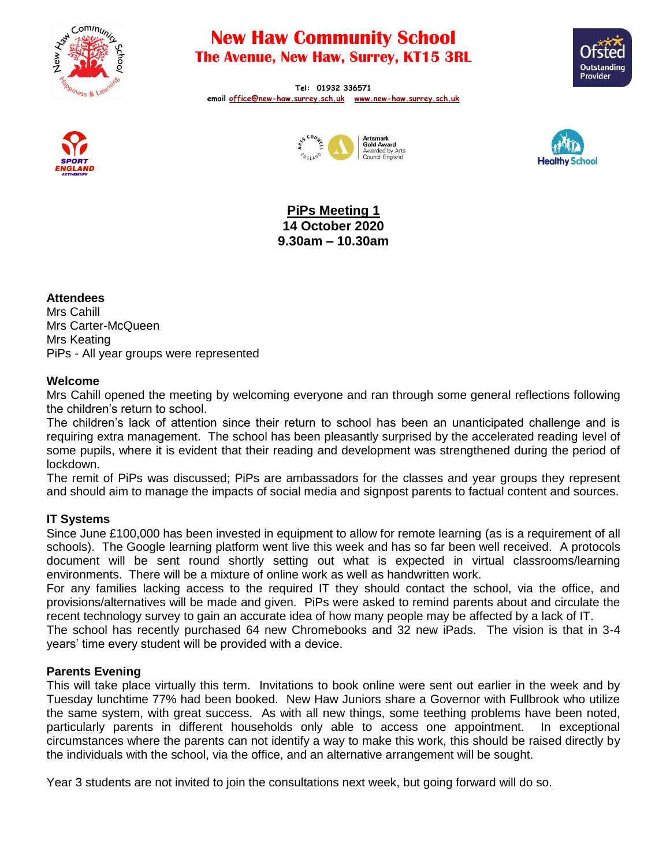

# **New Haw Community School The Avenue, New Haw, Surrey, KT15 3RL**



**Tel: 01932 336571 email [office@new-haw.surrey.sch.uk](mailto:office@new-haw.surrey.sch.uk) [www.new-haw.surrey.sch.uk](http://www.new-haw.surrey.sch.uk/)**







**PiPs Meeting 1 14 October 2020 9.30am – 10.30am**

# **Attendees**

Mrs Cahill Mrs Carter-McQueen Mrs Keating PiPs - All year groups were represented

# **Welcome**

Mrs Cahill opened the meeting by welcoming everyone and ran through some general reflections following the children's return to school.

The children's lack of attention since their return to school has been an unanticipated challenge and is requiring extra management. The school has been pleasantly surprised by the accelerated reading level of some pupils, where it is evident that their reading and development was strengthened during the period of lockdown.

The remit of PiPs was discussed; PiPs are ambassadors for the classes and year groups they represent and should aim to manage the impacts of social media and signpost parents to factual content and sources.

# **IT Systems**

Since June £100,000 has been invested in equipment to allow for remote learning (as is a requirement of all schools). The Google learning platform went live this week and has so far been well received. A protocols document will be sent round shortly setting out what is expected in virtual classrooms/learning environments. There will be a mixture of online work as well as handwritten work.

For any families lacking access to the required IT they should contact the school, via the office, and provisions/alternatives will be made and given. PiPs were asked to remind parents about and circulate the recent technology survey to gain an accurate idea of how many people may be affected by a lack of IT.

The school has recently purchased 64 new Chromebooks and 32 new iPads. The vision is that in 3-4 years' time every student will be provided with a device.

# **Parents Evening**

This will take place virtually this term. Invitations to book online were sent out earlier in the week and by Tuesday lunchtime 77% had been booked. New Haw Juniors share a Governor with Fullbrook who utilize the same system, with great success. As with all new things, some teething problems have been noted, particularly parents in different households only able to access one appointment. In exceptional circumstances where the parents can not identify a way to make this work, this should be raised directly by the individuals with the school, via the office, and an alternative arrangement will be sought.

Year 3 students are not invited to join the consultations next week, but going forward will do so.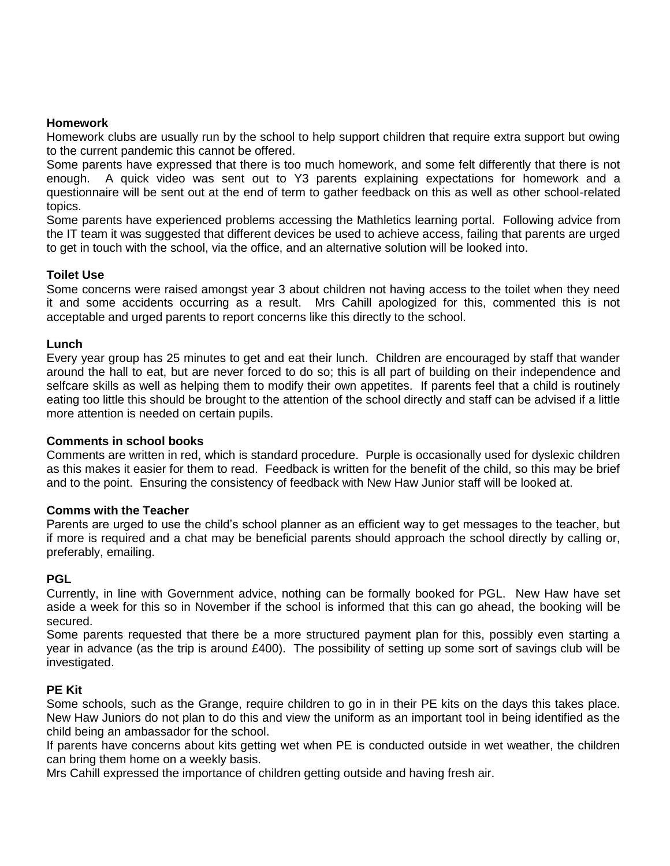## **Homework**

Homework clubs are usually run by the school to help support children that require extra support but owing to the current pandemic this cannot be offered.

Some parents have expressed that there is too much homework, and some felt differently that there is not enough. A quick video was sent out to Y3 parents explaining expectations for homework and a questionnaire will be sent out at the end of term to gather feedback on this as well as other school-related topics.

Some parents have experienced problems accessing the Mathletics learning portal. Following advice from the IT team it was suggested that different devices be used to achieve access, failing that parents are urged to get in touch with the school, via the office, and an alternative solution will be looked into.

## **Toilet Use**

Some concerns were raised amongst year 3 about children not having access to the toilet when they need it and some accidents occurring as a result. Mrs Cahill apologized for this, commented this is not acceptable and urged parents to report concerns like this directly to the school.

## **Lunch**

Every year group has 25 minutes to get and eat their lunch. Children are encouraged by staff that wander around the hall to eat, but are never forced to do so; this is all part of building on their independence and selfcare skills as well as helping them to modify their own appetites. If parents feel that a child is routinely eating too little this should be brought to the attention of the school directly and staff can be advised if a little more attention is needed on certain pupils.

## **Comments in school books**

Comments are written in red, which is standard procedure. Purple is occasionally used for dyslexic children as this makes it easier for them to read. Feedback is written for the benefit of the child, so this may be brief and to the point. Ensuring the consistency of feedback with New Haw Junior staff will be looked at.

## **Comms with the Teacher**

Parents are urged to use the child's school planner as an efficient way to get messages to the teacher, but if more is required and a chat may be beneficial parents should approach the school directly by calling or, preferably, emailing.

## **PGL**

Currently, in line with Government advice, nothing can be formally booked for PGL. New Haw have set aside a week for this so in November if the school is informed that this can go ahead, the booking will be secured.

Some parents requested that there be a more structured payment plan for this, possibly even starting a year in advance (as the trip is around £400). The possibility of setting up some sort of savings club will be investigated.

## **PE Kit**

Some schools, such as the Grange, require children to go in in their PE kits on the days this takes place. New Haw Juniors do not plan to do this and view the uniform as an important tool in being identified as the child being an ambassador for the school.

If parents have concerns about kits getting wet when PE is conducted outside in wet weather, the children can bring them home on a weekly basis.

Mrs Cahill expressed the importance of children getting outside and having fresh air.